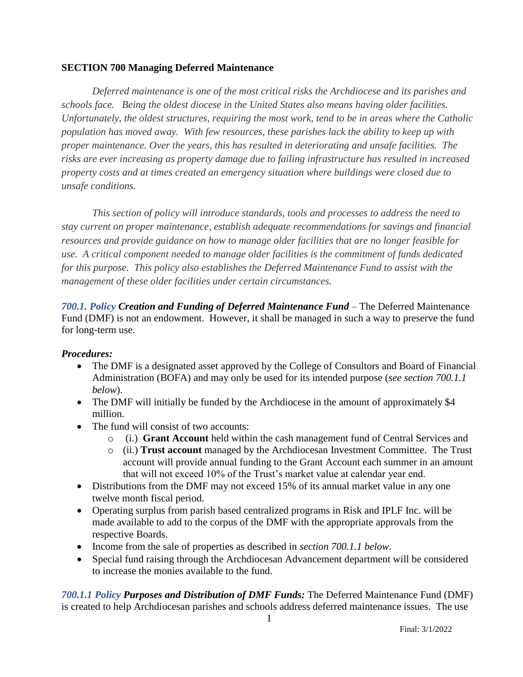## **SECTION 700 Managing Deferred Maintenance**

*Deferred maintenance is one of the most critical risks the Archdiocese and its parishes and schools face. Being the oldest diocese in the United States also means having older facilities. Unfortunately, the oldest structures, requiring the most work, tend to be in areas where the Catholic population has moved away. With few resources, these parishes lack the ability to keep up with proper maintenance. Over the years, this has resulted in deteriorating and unsafe facilities. The risks are ever increasing as property damage due to failing infrastructure has resulted in increased property costs and at times created an emergency situation where buildings were closed due to unsafe conditions.*

*This section of policy will introduce standards, tools and processes to address the need to stay current on proper maintenance, establish adequate recommendations for savings and financial resources and provide guidance on how to manage older facilities that are no longer feasible for use. A critical component needed to manage older facilities is the commitment of funds dedicated for this purpose. This policy also establishes the Deferred Maintenance Fund to assist with the management of these older facilities under certain circumstances.*

*700.1. Policy Creation and Funding of Deferred Maintenance Fund* – The Deferred Maintenance Fund (DMF) is not an endowment. However, it shall be managed in such a way to preserve the fund for long-term use.

## *Procedures:*

- The DMF is a designated asset approved by the College of Consultors and Board of Financial Administration (BOFA) and may only be used for its intended purpose (*see section 700.1.1 below*).
- The DMF will initially be funded by the Archdiocese in the amount of approximately \$4 million.
- The fund will consist of two accounts:
	- o (i.) **Grant Account** held within the cash management fund of Central Services and
	- o (ii.) **Trust account** managed by the Archdiocesan Investment Committee. The Trust account will provide annual funding to the Grant Account each summer in an amount that will not exceed 10% of the Trust's market value at calendar year end.
- Distributions from the DMF may not exceed 15% of its annual market value in any one twelve month fiscal period.
- Operating surplus from parish based centralized programs in Risk and IPLF Inc. will be made available to add to the corpus of the DMF with the appropriate approvals from the respective Boards.
- Income from the sale of properties as described in *section 700.1.1 below*.
- Special fund raising through the Archdiocesan Advancement department will be considered to increase the monies available to the fund.

*700.1.1 Policy Purposes and Distribution of DMF Funds:* The Deferred Maintenance Fund (DMF) is created to help Archdiocesan parishes and schools address deferred maintenance issues. The use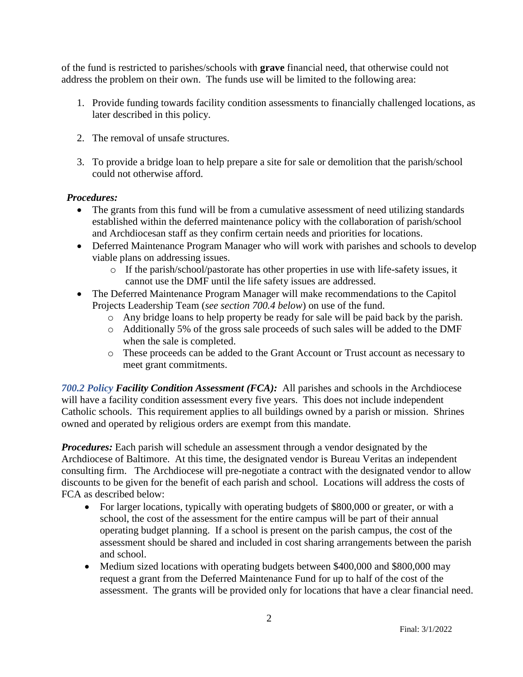of the fund is restricted to parishes/schools with **grave** financial need, that otherwise could not address the problem on their own. The funds use will be limited to the following area:

- 1. Provide funding towards facility condition assessments to financially challenged locations, as later described in this policy.
- 2. The removal of unsafe structures.
- 3. To provide a bridge loan to help prepare a site for sale or demolition that the parish/school could not otherwise afford.

## *Procedures:*

- The grants from this fund will be from a cumulative assessment of need utilizing standards established within the deferred maintenance policy with the collaboration of parish/school and Archdiocesan staff as they confirm certain needs and priorities for locations.
- Deferred Maintenance Program Manager who will work with parishes and schools to develop viable plans on addressing issues.
	- o If the parish/school/pastorate has other properties in use with life-safety issues, it cannot use the DMF until the life safety issues are addressed.
- The Deferred Maintenance Program Manager will make recommendations to the Capitol Projects Leadership Team (*see section 700.4 below*) on use of the fund.
	- o Any bridge loans to help property be ready for sale will be paid back by the parish.
	- o Additionally 5% of the gross sale proceeds of such sales will be added to the DMF when the sale is completed.
	- o These proceeds can be added to the Grant Account or Trust account as necessary to meet grant commitments.

*700.2 Policy Facility Condition Assessment (FCA):* All parishes and schools in the Archdiocese will have a facility condition assessment every five years. This does not include independent Catholic schools. This requirement applies to all buildings owned by a parish or mission. Shrines owned and operated by religious orders are exempt from this mandate.

*Procedures:* Each parish will schedule an assessment through a vendor designated by the Archdiocese of Baltimore. At this time, the designated vendor is Bureau Veritas an independent consulting firm. The Archdiocese will pre-negotiate a contract with the designated vendor to allow discounts to be given for the benefit of each parish and school. Locations will address the costs of FCA as described below:

- For larger locations, typically with operating budgets of \$800,000 or greater, or with a school, the cost of the assessment for the entire campus will be part of their annual operating budget planning. If a school is present on the parish campus, the cost of the assessment should be shared and included in cost sharing arrangements between the parish and school.
- Medium sized locations with operating budgets between \$400,000 and \$800,000 may request a grant from the Deferred Maintenance Fund for up to half of the cost of the assessment. The grants will be provided only for locations that have a clear financial need.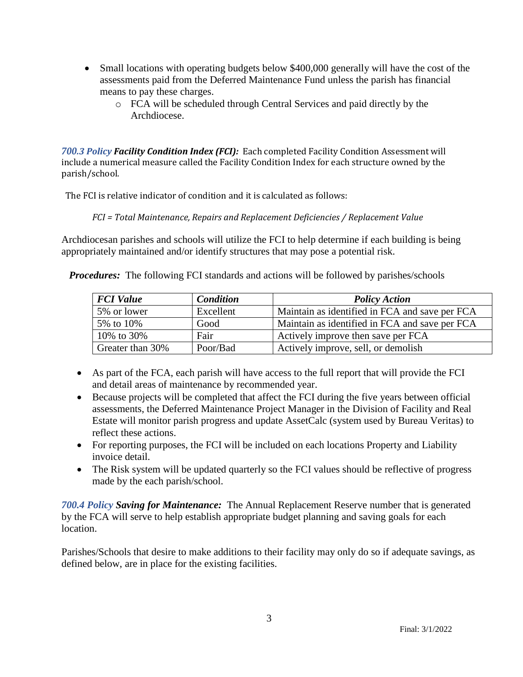- Small locations with operating budgets below \$400,000 generally will have the cost of the assessments paid from the Deferred Maintenance Fund unless the parish has financial means to pay these charges.
	- o FCA will be scheduled through Central Services and paid directly by the Archdiocese.

*700.3 Policy Facility Condition Index (FCI):* Each completed Facility Condition Assessment will include a numerical measure called the Facility Condition Index for each structure owned by the parish/school.

The FCI is relative indicator of condition and it is calculated as follows:

## *FCI = Total Maintenance, Repairs and Replacement Deficiencies / Replacement Value*

Archdiocesan parishes and schools will utilize the FCI to help determine if each building is being appropriately maintained and/or identify structures that may pose a potential risk.

*Procedures:* The following FCI standards and actions will be followed by parishes/schools

| <b>FCI</b> Value | <b>Condition</b> | <b>Policy Action</b>                           |
|------------------|------------------|------------------------------------------------|
| 5% or lower      | Excellent        | Maintain as identified in FCA and save per FCA |
| 5% to 10%        | Good             | Maintain as identified in FCA and save per FCA |
| 10\% to 30\%     | Fair             | Actively improve then save per FCA             |
| Greater than 30% | Poor/Bad         | Actively improve, sell, or demolish            |

- As part of the FCA, each parish will have access to the full report that will provide the FCI and detail areas of maintenance by recommended year.
- Because projects will be completed that affect the FCI during the five years between official assessments, the Deferred Maintenance Project Manager in the Division of Facility and Real Estate will monitor parish progress and update AssetCalc (system used by Bureau Veritas) to reflect these actions.
- For reporting purposes, the FCI will be included on each locations Property and Liability invoice detail.
- The Risk system will be updated quarterly so the FCI values should be reflective of progress made by the each parish/school.

*700.4 Policy Saving for Maintenance:* The Annual Replacement Reserve number that is generated by the FCA will serve to help establish appropriate budget planning and saving goals for each location.

Parishes/Schools that desire to make additions to their facility may only do so if adequate savings, as defined below, are in place for the existing facilities.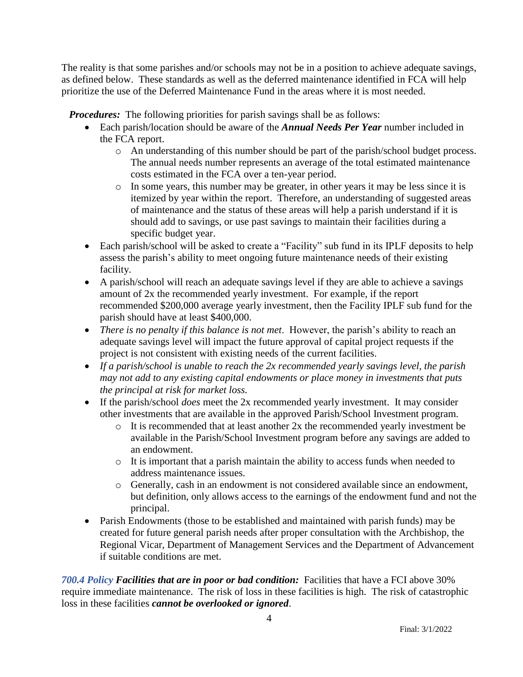The reality is that some parishes and/or schools may not be in a position to achieve adequate savings, as defined below. These standards as well as the deferred maintenance identified in FCA will help prioritize the use of the Deferred Maintenance Fund in the areas where it is most needed.

*Procedures:* The following priorities for parish savings shall be as follows:

- Each parish/location should be aware of the *Annual Needs Per Year* number included in the FCA report.
	- o An understanding of this number should be part of the parish/school budget process. The annual needs number represents an average of the total estimated maintenance costs estimated in the FCA over a ten-year period.
	- o In some years, this number may be greater, in other years it may be less since it is itemized by year within the report. Therefore, an understanding of suggested areas of maintenance and the status of these areas will help a parish understand if it is should add to savings, or use past savings to maintain their facilities during a specific budget year.
- Each parish/school will be asked to create a "Facility" sub fund in its IPLF deposits to help assess the parish's ability to meet ongoing future maintenance needs of their existing facility.
- A parish/school will reach an adequate savings level if they are able to achieve a savings amount of 2x the recommended yearly investment. For example, if the report recommended \$200,000 average yearly investment, then the Facility IPLF sub fund for the parish should have at least \$400,000.
- *There is no penalty if this balance is not met*. However, the parish's ability to reach an adequate savings level will impact the future approval of capital project requests if the project is not consistent with existing needs of the current facilities.
- *If a parish/school is unable to reach the 2x recommended yearly savings level, the parish may not add to any existing capital endowments or place money in investments that puts the principal at risk for market loss.*
- If the parish/school *does* meet the 2x recommended yearly investment. It may consider other investments that are available in the approved Parish/School Investment program.
	- o It is recommended that at least another 2x the recommended yearly investment be available in the Parish/School Investment program before any savings are added to an endowment.
	- o It is important that a parish maintain the ability to access funds when needed to address maintenance issues.
	- o Generally, cash in an endowment is not considered available since an endowment, but definition, only allows access to the earnings of the endowment fund and not the principal.
- Parish Endowments (those to be established and maintained with parish funds) may be created for future general parish needs after proper consultation with the Archbishop, the Regional Vicar, Department of Management Services and the Department of Advancement if suitable conditions are met.

*700.4 Policy Facilities that are in poor or bad condition:* Facilities that have a FCI above 30% require immediate maintenance. The risk of loss in these facilities is high. The risk of catastrophic loss in these facilities *cannot be overlooked or ignored*.